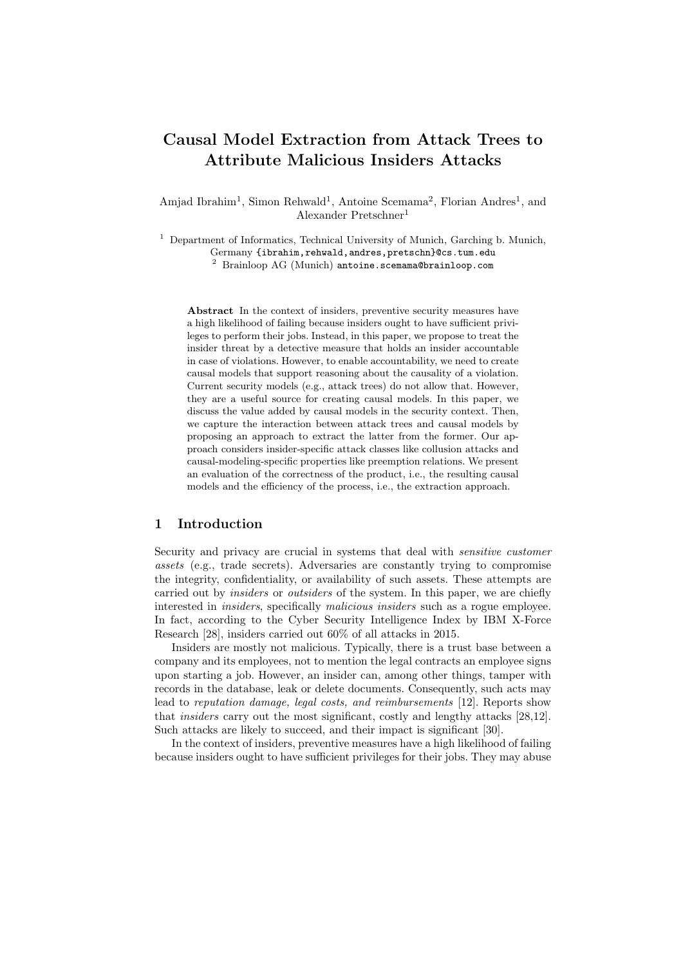# Causal Model Extraction from Attack Trees to Attribute Malicious Insiders Attacks

Amjad Ibrahim<sup>1</sup>, Simon Rehwald<sup>1</sup>, Antoine Scemama<sup>2</sup>, Florian Andres<sup>1</sup>, and Alexander Pretschner<sup>1</sup>

<sup>1</sup> Department of Informatics, Technical University of Munich, Garching b. Munich, Germany {ibrahim,rehwald,andres,pretschn}@cs.tum.edu

 $2$  Brainloop AG (Munich) antoine.scemama@brainloop.com

Abstract In the context of insiders, preventive security measures have a high likelihood of failing because insiders ought to have sufficient privileges to perform their jobs. Instead, in this paper, we propose to treat the insider threat by a detective measure that holds an insider accountable in case of violations. However, to enable accountability, we need to create causal models that support reasoning about the causality of a violation. Current security models (e.g., attack trees) do not allow that. However, they are a useful source for creating causal models. In this paper, we discuss the value added by causal models in the security context. Then, we capture the interaction between attack trees and causal models by proposing an approach to extract the latter from the former. Our approach considers insider-specific attack classes like collusion attacks and causal-modeling-specific properties like preemption relations. We present an evaluation of the correctness of the product, i.e., the resulting causal models and the efficiency of the process, i.e., the extraction approach.

## 1 Introduction

Security and privacy are crucial in systems that deal with sensitive customer assets (e.g., trade secrets). Adversaries are constantly trying to compromise the integrity, confidentiality, or availability of such assets. These attempts are carried out by *insiders* or *outsiders* of the system. In this paper, we are chiefly interested in insiders, specifically malicious insiders such as a rogue employee. In fact, according to the Cyber Security Intelligence Index by IBM X-Force Research [28], insiders carried out 60% of all attacks in 2015.

Insiders are mostly not malicious. Typically, there is a trust base between a company and its employees, not to mention the legal contracts an employee signs upon starting a job. However, an insider can, among other things, tamper with records in the database, leak or delete documents. Consequently, such acts may lead to reputation damage, legal costs, and reimbursements [12]. Reports show that insiders carry out the most significant, costly and lengthy attacks [28,12]. Such attacks are likely to succeed, and their impact is significant [30].

In the context of insiders, preventive measures have a high likelihood of failing because insiders ought to have sufficient privileges for their jobs. They may abuse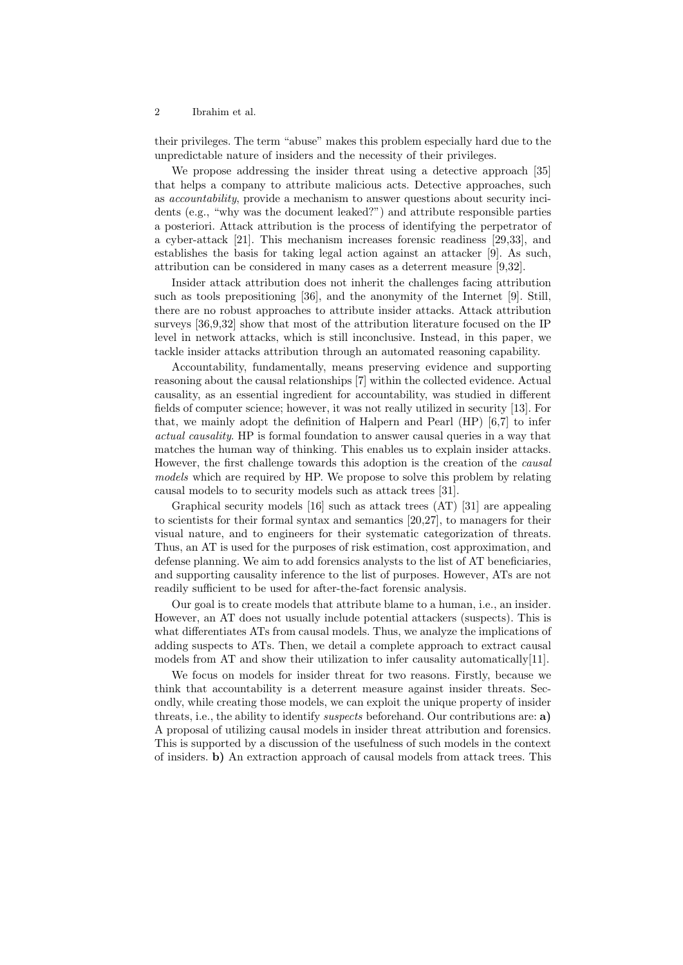their privileges. The term "abuse" makes this problem especially hard due to the unpredictable nature of insiders and the necessity of their privileges.

We propose addressing the insider threat using a detective approach [35] that helps a company to attribute malicious acts. Detective approaches, such as accountability, provide a mechanism to answer questions about security incidents (e.g., "why was the document leaked?") and attribute responsible parties a posteriori. Attack attribution is the process of identifying the perpetrator of a cyber-attack [21]. This mechanism increases forensic readiness [29,33], and establishes the basis for taking legal action against an attacker [9]. As such, attribution can be considered in many cases as a deterrent measure [9,32].

Insider attack attribution does not inherit the challenges facing attribution such as tools prepositioning [36], and the anonymity of the Internet [9]. Still, there are no robust approaches to attribute insider attacks. Attack attribution surveys [36,9,32] show that most of the attribution literature focused on the IP level in network attacks, which is still inconclusive. Instead, in this paper, we tackle insider attacks attribution through an automated reasoning capability.

Accountability, fundamentally, means preserving evidence and supporting reasoning about the causal relationships [7] within the collected evidence. Actual causality, as an essential ingredient for accountability, was studied in different fields of computer science; however, it was not really utilized in security [13]. For that, we mainly adopt the definition of Halpern and Pearl (HP) [6,7] to infer actual causality. HP is formal foundation to answer causal queries in a way that matches the human way of thinking. This enables us to explain insider attacks. However, the first challenge towards this adoption is the creation of the causal models which are required by HP. We propose to solve this problem by relating causal models to to security models such as attack trees [31].

Graphical security models [16] such as attack trees (AT) [31] are appealing to scientists for their formal syntax and semantics [20,27], to managers for their visual nature, and to engineers for their systematic categorization of threats. Thus, an AT is used for the purposes of risk estimation, cost approximation, and defense planning. We aim to add forensics analysts to the list of AT beneficiaries, and supporting causality inference to the list of purposes. However, ATs are not readily sufficient to be used for after-the-fact forensic analysis.

Our goal is to create models that attribute blame to a human, i.e., an insider. However, an AT does not usually include potential attackers (suspects). This is what differentiates ATs from causal models. Thus, we analyze the implications of adding suspects to ATs. Then, we detail a complete approach to extract causal models from AT and show their utilization to infer causality automatically[11].

We focus on models for insider threat for two reasons. Firstly, because we think that accountability is a deterrent measure against insider threats. Secondly, while creating those models, we can exploit the unique property of insider threats, i.e., the ability to identify suspects beforehand. Our contributions are: a) A proposal of utilizing causal models in insider threat attribution and forensics. This is supported by a discussion of the usefulness of such models in the context of insiders. b) An extraction approach of causal models from attack trees. This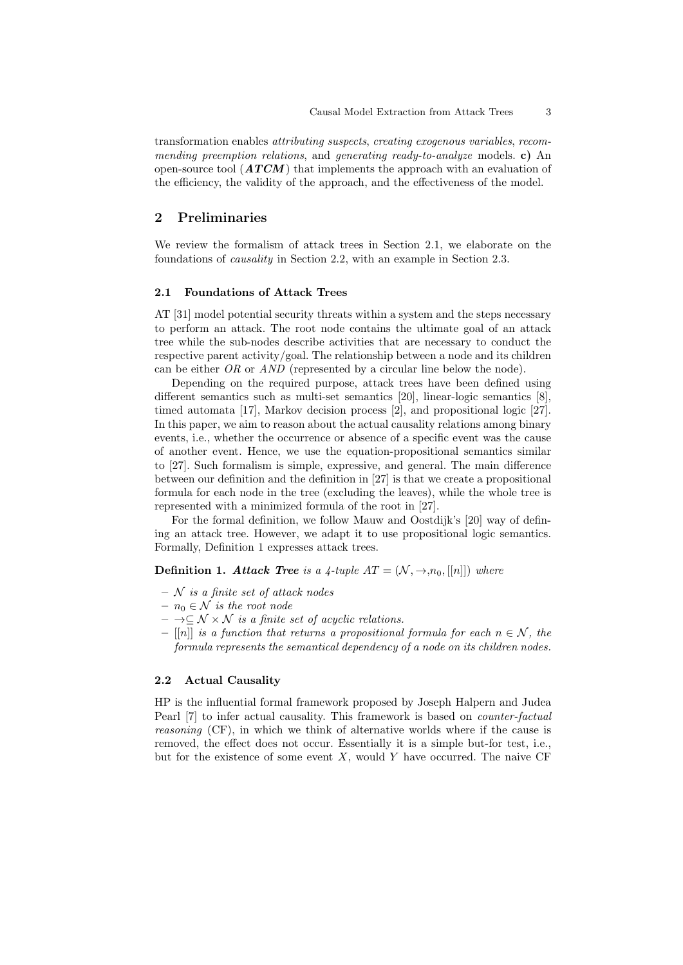transformation enables attributing suspects, creating exogenous variables, recommending preemption relations, and generating ready-to-analyze models. c) An open-source tool  $(ATCM)$  that implements the approach with an evaluation of the efficiency, the validity of the approach, and the effectiveness of the model.

## 2 Preliminaries

We review the formalism of attack trees in Section 2.1, we elaborate on the foundations of causality in Section 2.2, with an example in Section 2.3.

#### 2.1 Foundations of Attack Trees

AT [31] model potential security threats within a system and the steps necessary to perform an attack. The root node contains the ultimate goal of an attack tree while the sub-nodes describe activities that are necessary to conduct the respective parent activity/goal. The relationship between a node and its children can be either OR or AND (represented by a circular line below the node).

Depending on the required purpose, attack trees have been defined using different semantics such as multi-set semantics [20], linear-logic semantics [8], timed automata [17], Markov decision process [2], and propositional logic [27]. In this paper, we aim to reason about the actual causality relations among binary events, i.e., whether the occurrence or absence of a specific event was the cause of another event. Hence, we use the equation-propositional semantics similar to [27]. Such formalism is simple, expressive, and general. The main difference between our definition and the definition in [27] is that we create a propositional formula for each node in the tree (excluding the leaves), while the whole tree is represented with a minimized formula of the root in [27].

For the formal definition, we follow Mauw and Oostdijk's [20] way of defining an attack tree. However, we adapt it to use propositional logic semantics. Formally, Definition 1 expresses attack trees.

## **Definition 1. Attack Tree** is a 4-tuple  $AT = (\mathcal{N}, \rightarrow, n_0, \vert [n] \vert)$  where

- $-$  N is a finite set of attack nodes
- $− n<sub>0</sub> ∈ N is the root node$
- $\rightarrow \subseteq \mathcal{N} \times \mathcal{N}$  is a finite set of acyclic relations.
- $-$  [[n]] is a function that returns a propositional formula for each  $n \in \mathcal{N}$ , the formula represents the semantical dependency of a node on its children nodes.

#### 2.2 Actual Causality

HP is the influential formal framework proposed by Joseph Halpern and Judea Pearl [7] to infer actual causality. This framework is based on counter-factual reasoning (CF), in which we think of alternative worlds where if the cause is removed, the effect does not occur. Essentially it is a simple but-for test, i.e., but for the existence of some event  $X$ , would  $Y$  have occurred. The naive CF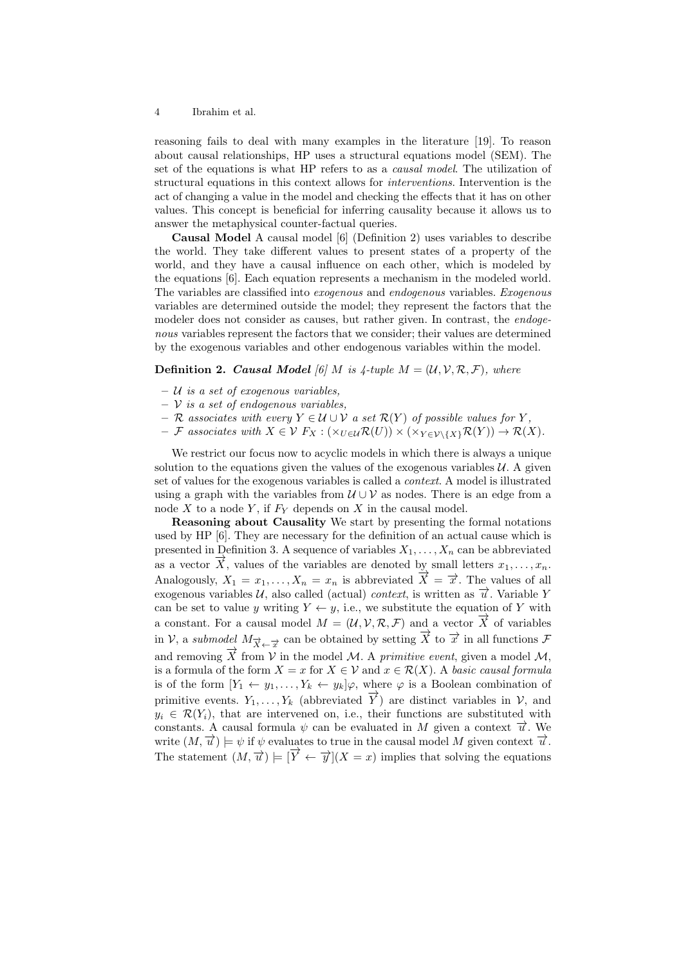reasoning fails to deal with many examples in the literature [19]. To reason about causal relationships, HP uses a structural equations model (SEM). The set of the equations is what HP refers to as a causal model. The utilization of structural equations in this context allows for interventions. Intervention is the act of changing a value in the model and checking the effects that it has on other values. This concept is beneficial for inferring causality because it allows us to answer the metaphysical counter-factual queries.

Causal Model A causal model [6] (Definition 2) uses variables to describe the world. They take different values to present states of a property of the world, and they have a causal influence on each other, which is modeled by the equations [6]. Each equation represents a mechanism in the modeled world. The variables are classified into exogenous and endogenous variables. Exogenous variables are determined outside the model; they represent the factors that the modeler does not consider as causes, but rather given. In contrast, the endogenous variables represent the factors that we consider; their values are determined by the exogenous variables and other endogenous variables within the model.

## **Definition 2. Causal Model** [6] M is 4-tuple  $M = (\mathcal{U}, \mathcal{V}, \mathcal{R}, \mathcal{F})$ , where

- $-$  U is a set of exogenous variables,
- $-$  V is a set of endogenous variables,
- $\mathcal{R}$  associates with every  $Y \in \mathcal{U} \cup \mathcal{V}$  a set  $\mathcal{R}(Y)$  of possible values for Y
- $-$  F associates with  $X \in V$   $F_X : (\times_{U \in \mathcal{U}} \mathcal{R}(U)) \times (\times_{Y \in \mathcal{V} \setminus \{X\}} \mathcal{R}(Y)) \to \mathcal{R}(X)$ .

We restrict our focus now to acyclic models in which there is always a unique solution to the equations given the values of the exogenous variables  $U$ . A given set of values for the exogenous variables is called a context. A model is illustrated using a graph with the variables from  $\mathcal{U} \cup \mathcal{V}$  as nodes. There is an edge from a node X to a node Y, if  $F_Y$  depends on X in the causal model.

Reasoning about Causality We start by presenting the formal notations used by HP [6]. They are necessary for the definition of an actual cause which is presented in Definition 3. A sequence of variables  $X_1, \ldots, X_n$  can be abbreviated as a vector  $\overrightarrow{X}$ , values of the variables are denoted by small letters  $x_1, \ldots, x_n$ . Analogously,  $X_1 = x_1, \ldots, X_n = x_n$  is abbreviated  $\overline{X} = \overline{x}$ . The values of all exogenous variables U, also called (actual) *context*, is written as  $\vec{u}$ . Variable Y can be set to value y writing  $Y \leftarrow y$ , i.e., we substitute the equation of Y with a constant. For a causal model  $M = (\mathcal{U}, \mathcal{V}, \mathcal{R}, \mathcal{F})$  and a vector  $\overrightarrow{X}$  of variables in V, a submodel  $M_{\vec{X} \leftarrow \vec{x}}$  can be obtained by setting  $\vec{X}$  to  $\vec{x}$  in all functions F and removing X from V in the model M. A primitive event, given a model M, is a formula of the form  $X = x$  for  $X \in \mathcal{V}$  and  $x \in \mathcal{R}(X)$ . A basic causal formula is of the form  $[Y_1 \leftarrow y_1, \ldots, Y_k \leftarrow y_k] \varphi$ , where  $\varphi$  is a Boolean combination of primitive events.  $Y_1, \ldots, Y_k$  (abbreviated  $\overrightarrow{Y}$ ) are distinct variables in  $\mathcal{V}$ , and  $y_i \in \mathcal{R}(Y_i)$ , that are intervened on, i.e., their functions are substituted with constants. A causal formula  $\psi$  can be evaluated in M given a context  $\vec{u}$ . We write  $(M, \overrightarrow{u}) \models \psi$  if  $\psi$  evaluates to true in the causal model M given context  $\overrightarrow{u}$ . The statement  $(M, \overrightarrow{u}) \models [\overrightarrow{Y} \leftarrow \overrightarrow{y}](X = x)$  implies that solving the equations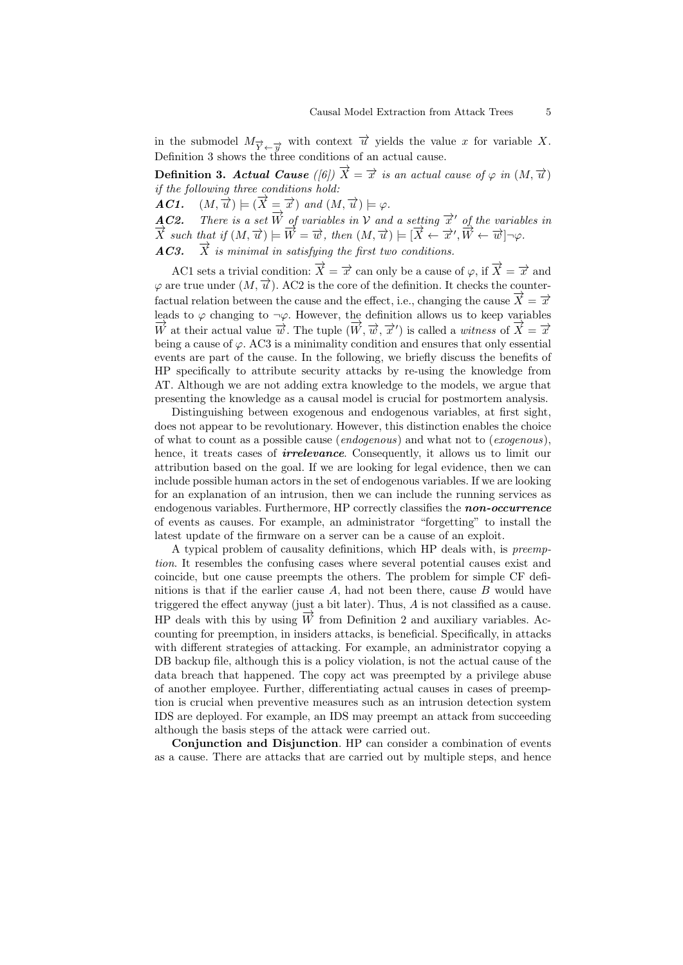in the submodel  $M_{\overrightarrow{Y} \leftarrow \overrightarrow{y}}$  with context  $\overrightarrow{u}$  yields the value x for variable X. Definition 3 shows the three conditions of an actual cause.

**Definition 3. Actual Cause** ([6])  $\overrightarrow{X} = \overrightarrow{x}$  is an actual cause of  $\varphi$  in  $(M, \overrightarrow{u})$ if the following three conditions hold:

 $AC1.$   $(M, \overrightarrow{u}) \models (\overrightarrow{X} = \overrightarrow{x})$  and  $(M, \overrightarrow{u}) \models \varphi$ .

**AC2.** There is a set  $\overrightarrow{W}$  of variables in V and a setting  $\overrightarrow{x}'$  of the variables in  $\overrightarrow{X}$  such that if  $(M, \overrightarrow{u}) \models \overrightarrow{W} = \overrightarrow{w}$ , then  $(M, \overrightarrow{u}) \models [\overrightarrow{X} \leftarrow \overrightarrow{x}', \overrightarrow{W} \leftarrow \overrightarrow{w}] \neg \varphi$ .

 $AC3.$   $\overrightarrow{X}$  is minimal in satisfying the first two conditions.

AC1 sets a trivial condition:  $\overrightarrow{X} = \overrightarrow{x}$  can only be a cause of  $\varphi$ , if  $\overrightarrow{X} = \overrightarrow{x}$  and  $\varphi$  are true under  $(M, \vec{u})$ . AC2 is the core of the definition. It checks the counterfactual relation between the cause and the effect, i.e., changing the cause  $\overrightarrow{X} = \overrightarrow{x}$ leads to  $\varphi$  changing to  $\neg \varphi$ . However, the definition allows us to keep variables  $\overrightarrow{W}$  at their actual value  $\overrightarrow{w}$ . The tuple  $(\overrightarrow{W}, \overrightarrow{w}, \overrightarrow{x}')$  is called a *witness* of  $\overrightarrow{X} = \overrightarrow{x}$ being a cause of  $\varphi$ . AC3 is a minimality condition and ensures that only essential events are part of the cause. In the following, we briefly discuss the benefits of HP specifically to attribute security attacks by re-using the knowledge from AT. Although we are not adding extra knowledge to the models, we argue that presenting the knowledge as a causal model is crucial for postmortem analysis.

Distinguishing between exogenous and endogenous variables, at first sight, does not appear to be revolutionary. However, this distinction enables the choice of what to count as a possible cause (endogenous) and what not to (exogenous), hence, it treats cases of *irrelevance*. Consequently, it allows us to limit our attribution based on the goal. If we are looking for legal evidence, then we can include possible human actors in the set of endogenous variables. If we are looking for an explanation of an intrusion, then we can include the running services as endogenous variables. Furthermore, HP correctly classifies the **non-occurrence** of events as causes. For example, an administrator "forgetting" to install the latest update of the firmware on a server can be a cause of an exploit.

A typical problem of causality definitions, which HP deals with, is preemption. It resembles the confusing cases where several potential causes exist and coincide, but one cause preempts the others. The problem for simple CF definitions is that if the earlier cause  $A$ , had not been there, cause  $B$  would have triggered the effect anyway (just a bit later). Thus, A is not classified as a cause. HP deals with this by using  $\overrightarrow{W}$  from Definition 2 and auxiliary variables. Accounting for preemption, in insiders attacks, is beneficial. Specifically, in attacks with different strategies of attacking. For example, an administrator copying a DB backup file, although this is a policy violation, is not the actual cause of the data breach that happened. The copy act was preempted by a privilege abuse of another employee. Further, differentiating actual causes in cases of preemption is crucial when preventive measures such as an intrusion detection system IDS are deployed. For example, an IDS may preempt an attack from succeeding although the basis steps of the attack were carried out.

Conjunction and Disjunction. HP can consider a combination of events as a cause. There are attacks that are carried out by multiple steps, and hence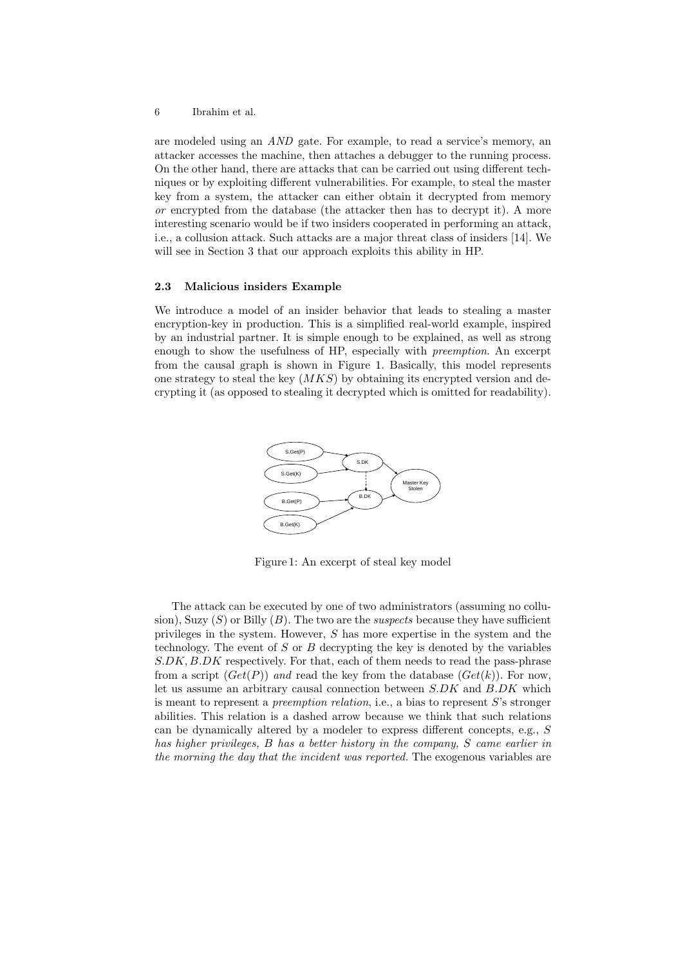are modeled using an AND gate. For example, to read a service's memory, an attacker accesses the machine, then attaches a debugger to the running process. On the other hand, there are attacks that can be carried out using different techniques or by exploiting different vulnerabilities. For example, to steal the master key from a system, the attacker can either obtain it decrypted from memory or encrypted from the database (the attacker then has to decrypt it). A more interesting scenario would be if two insiders cooperated in performing an attack, i.e., a collusion attack. Such attacks are a major threat class of insiders [14]. We will see in Section 3 that our approach exploits this ability in HP.

#### 2.3 Malicious insiders Example

We introduce a model of an insider behavior that leads to stealing a master encryption-key in production. This is a simplified real-world example, inspired by an industrial partner. It is simple enough to be explained, as well as strong enough to show the usefulness of HP, especially with preemption. An excerpt from the causal graph is shown in Figure 1. Basically, this model represents one strategy to steal the key  $(MKS)$  by obtaining its encrypted version and decrypting it (as opposed to stealing it decrypted which is omitted for readability).



Figure 1: An excerpt of steal key model

 $S.DK, B.DK$  respectively. For that, each of them needs to read the pass-phrase The attack can be executed by one of two administrators (assuming no collusion), Suzy  $(S)$  or Billy  $(B)$ . The two are the *suspects* because they have sufficient privileges in the system. However,  $S$  has more expertise in the system and the technology. The event of  $S$  or  $B$  decrypting the key is denoted by the variables from a script  $(Get(P))$  and read the key from the database  $(Get(k))$ . For now, let us assume an arbitrary causal connection between S.DK and B.DK which is meant to represent a preemption relation, i.e., a bias to represent S's stronger abilities. This relation is a dashed arrow because we think that such relations can be dynamically altered by a modeler to express different concepts, e.g., S has higher privileges, B has a better history in the company, S came earlier in the morning the day that the incident was reported. The exogenous variables are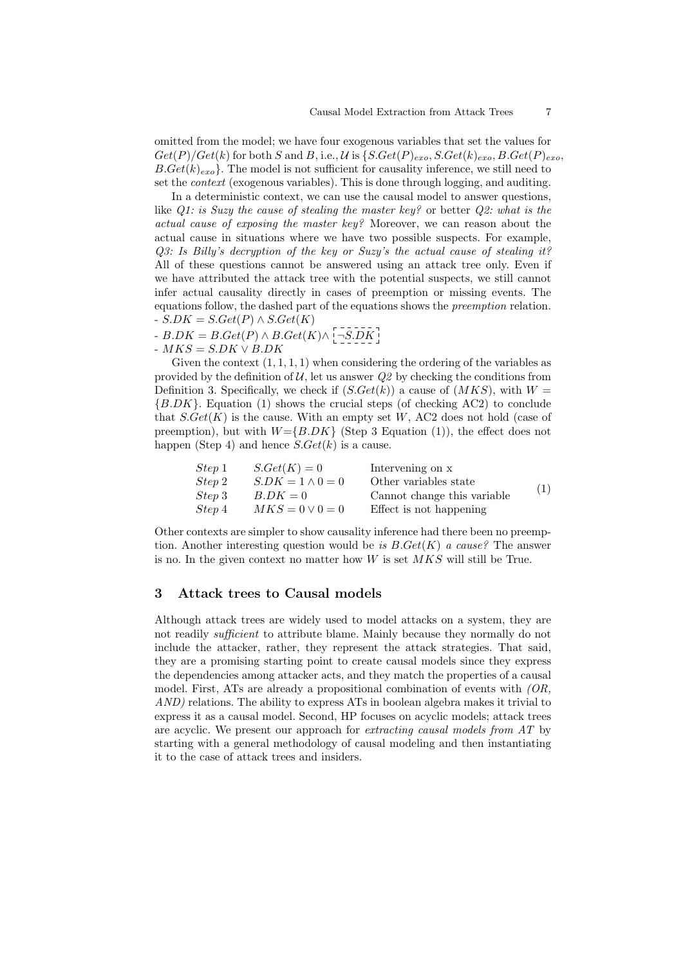omitted from the model; we have four exogenous variables that set the values for  $Get(P)/Get(k)$  for both S and B, i.e., U is  $\{S.Get(P)_{exo}, S.Get(k)_{exo}, B.Get(P)_{exo},$  $B. Get(k)<sub>exo</sub>$ . The model is not sufficient for causality inference, we still need to set the context (exogenous variables). This is done through logging, and auditing.

In a deterministic context, we can use the causal model to answer questions, like Q1: is Suzy the cause of stealing the master key? or better Q2: what is the actual cause of exposing the master key? Moreover, we can reason about the actual cause in situations where we have two possible suspects. For example,  $Q3$ : Is Billy's decryption of the key or Suzy's the actual cause of stealing it? All of these questions cannot be answered using an attack tree only. Even if we have attributed the attack tree with the potential suspects, we still cannot infer actual causality directly in cases of preemption or missing events. The equations follow, the dashed part of the equations shows the preemption relation.  $S.DK = S.Cet(P) \wedge S.Cet(K)$ 

 $-B.DK = B.Cet(P) \wedge B.Cet(K) \wedge \lceil \neg S.DK \rceil$ 

 $-MKS = S.DK \vee B.DK$ 

Given the context  $(1, 1, 1, 1)$  when considering the ordering of the variables as provided by the definition of  $\mathcal{U}$ , let us answer  $\mathcal{Q}2$  by checking the conditions from Definition 3. Specifically, we check if  $(S.get(k))$  a cause of  $(MKS)$ , with  $W =$  ${B.DK}$ . Equation (1) shows the crucial steps (of checking AC2) to conclude that  $S.get(K)$  is the cause. With an empty set W, AC2 does not hold (case of preemption), but with  $W = {B.DK}$  (Step 3 Equation (1)), the effect does not happen (Step 4) and hence  $S.get(k)$  is a cause.

| Step 1    | $S.Get(K) = 0$          | Intervening on x            |     |
|-----------|-------------------------|-----------------------------|-----|
| $Step\ 2$ | $S.DK = 1 \wedge 0 = 0$ | Other variables state       |     |
| $Step\ 3$ | $B.DK = 0$              | Cannot change this variable | (1) |
| Step 4    | $MKS = 0 \vee 0 = 0$    | Effect is not happening     |     |

Other contexts are simpler to show causality inference had there been no preemption. Another interesting question would be is  $B.Get(K)$  a cause? The answer is no. In the given context no matter how W is set  $MKS$  will still be True.

## 3 Attack trees to Causal models

Although attack trees are widely used to model attacks on a system, they are not readily *sufficient* to attribute blame. Mainly because they normally do not include the attacker, rather, they represent the attack strategies. That said, they are a promising starting point to create causal models since they express the dependencies among attacker acts, and they match the properties of a causal model. First, ATs are already a propositional combination of events with  $(OR,$ AND) relations. The ability to express ATs in boolean algebra makes it trivial to express it as a causal model. Second, HP focuses on acyclic models; attack trees are acyclic. We present our approach for *extracting causal models from AT* by starting with a general methodology of causal modeling and then instantiating it to the case of attack trees and insiders.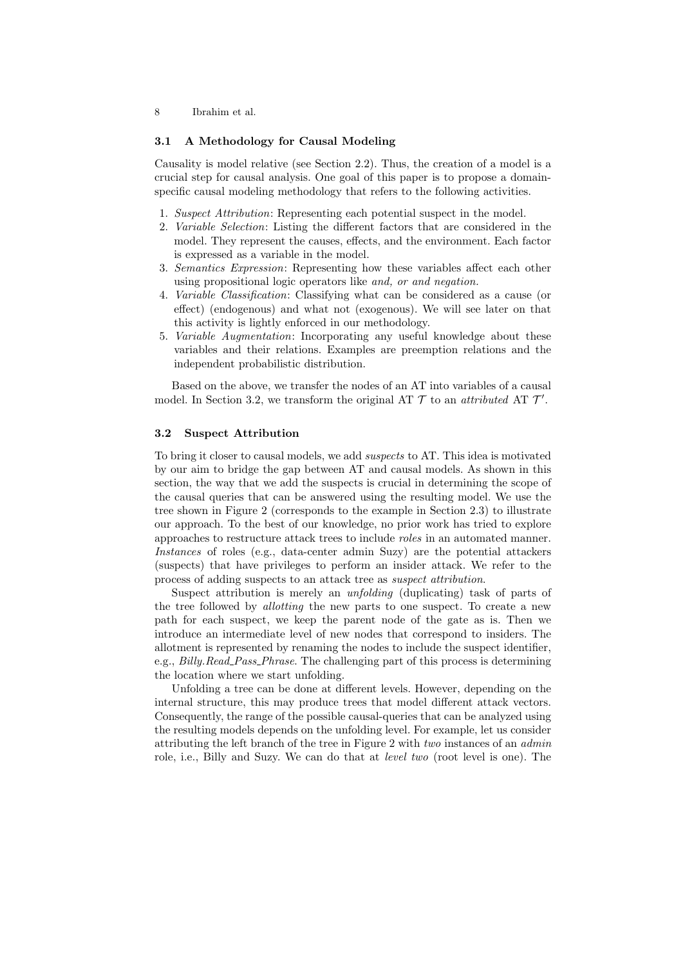## 3.1 A Methodology for Causal Modeling

Causality is model relative (see Section 2.2). Thus, the creation of a model is a crucial step for causal analysis. One goal of this paper is to propose a domainspecific causal modeling methodology that refers to the following activities.

- 1. Suspect Attribution: Representing each potential suspect in the model.
- 2. Variable Selection: Listing the different factors that are considered in the model. They represent the causes, effects, and the environment. Each factor is expressed as a variable in the model.
- 3. Semantics Expression: Representing how these variables affect each other using propositional logic operators like and, or and negation.
- 4. Variable Classification: Classifying what can be considered as a cause (or effect) (endogenous) and what not (exogenous). We will see later on that this activity is lightly enforced in our methodology.
- 5. Variable Augmentation: Incorporating any useful knowledge about these variables and their relations. Examples are preemption relations and the independent probabilistic distribution.

Based on the above, we transfer the nodes of an AT into variables of a causal model. In Section 3.2, we transform the original AT  $\mathcal T$  to an attributed AT  $\mathcal T'$ .

#### 3.2 Suspect Attribution

To bring it closer to causal models, we add suspects to AT. This idea is motivated by our aim to bridge the gap between AT and causal models. As shown in this section, the way that we add the suspects is crucial in determining the scope of the causal queries that can be answered using the resulting model. We use the tree shown in Figure 2 (corresponds to the example in Section 2.3) to illustrate our approach. To the best of our knowledge, no prior work has tried to explore approaches to restructure attack trees to include roles in an automated manner. Instances of roles (e.g., data-center admin Suzy) are the potential attackers (suspects) that have privileges to perform an insider attack. We refer to the process of adding suspects to an attack tree as suspect attribution.

Suspect attribution is merely an unfolding (duplicating) task of parts of the tree followed by *allotting* the new parts to one suspect. To create a new path for each suspect, we keep the parent node of the gate as is. Then we introduce an intermediate level of new nodes that correspond to insiders. The allotment is represented by renaming the nodes to include the suspect identifier, e.g., Billy.Read\_Pass\_Phrase. The challenging part of this process is determining the location where we start unfolding.

Unfolding a tree can be done at different levels. However, depending on the internal structure, this may produce trees that model different attack vectors. Consequently, the range of the possible causal-queries that can be analyzed using the resulting models depends on the unfolding level. For example, let us consider attributing the left branch of the tree in Figure 2 with two instances of an admin role, i.e., Billy and Suzy. We can do that at level two (root level is one). The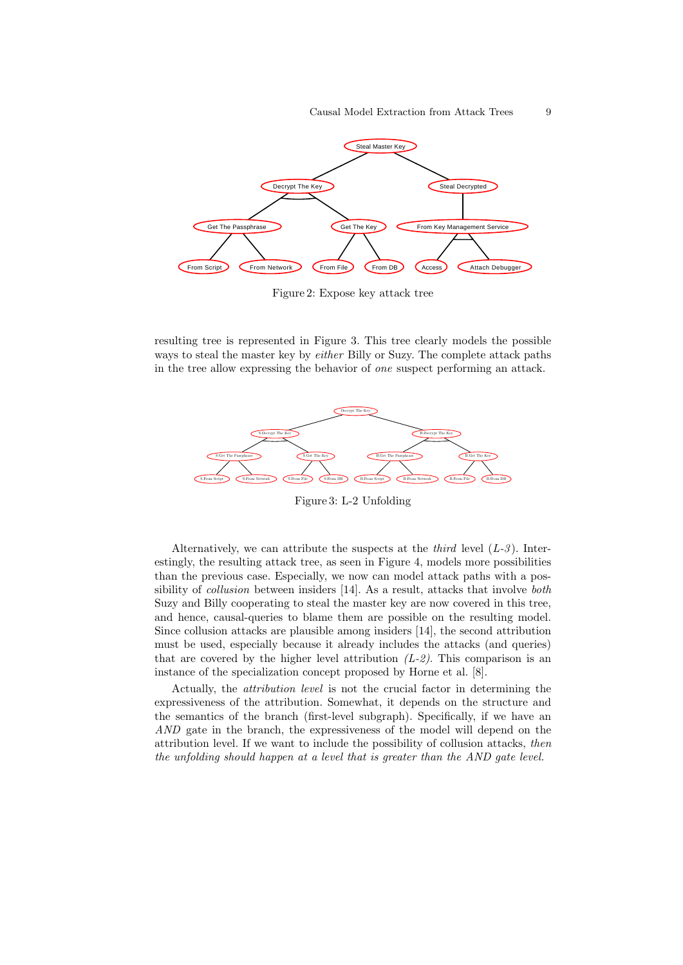

Figure 2: Expose key attack tree

resulting tree is represented in Figure 3. This tree clearly models the possible ways to steal the master key by *either* Billy or Suzy. The complete attack paths in the tree allow expressing the behavior of one suspect performing an attack.



Figure 3: L-2 Unfolding

Alternatively, we can attribute the suspects at the *third* level  $(L-3)$ . Interestingly, the resulting attack tree, as seen in Figure 4, models more possibilities than the previous case. Especially, we now can model attack paths with a possibility of *collusion* between insiders [14]. As a result, attacks that involve *both* Suzy and Billy cooperating to steal the master key are now covered in this tree, and hence, causal-queries to blame them are possible on the resulting model. Since collusion attacks are plausible among insiders [14], the second attribution must be used, especially because it already includes the attacks (and queries) that are covered by the higher level attribution  $(L-2)$ . This comparison is an instance of the specialization concept proposed by Horne et al. [8].

Actually, the attribution level is not the crucial factor in determining the expressiveness of the attribution. Somewhat, it depends on the structure and the semantics of the branch (first-level subgraph). Specifically, if we have an AND gate in the branch, the expressiveness of the model will depend on the attribution level. If we want to include the possibility of collusion attacks, then the unfolding should happen at a level that is greater than the AND gate level.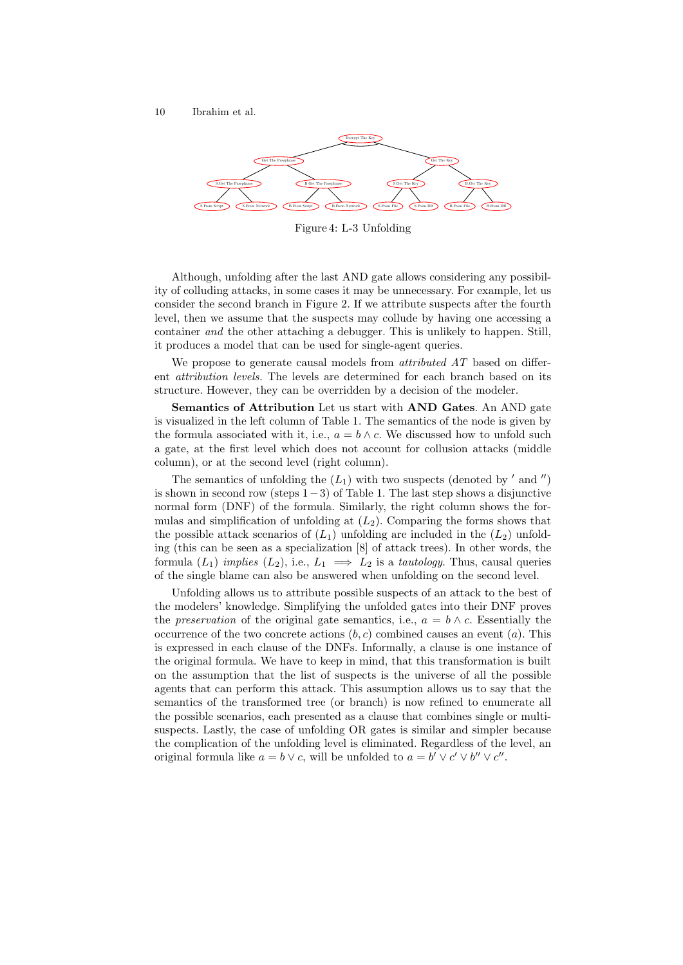

Figure 4: L-3 Unfolding

Although, unfolding after the last AND gate allows considering any possibility of colluding attacks, in some cases it may be unnecessary. For example, let us consider the second branch in Figure 2. If we attribute suspects after the fourth level, then we assume that the suspects may collude by having one accessing a container and the other attaching a debugger. This is unlikely to happen. Still, it produces a model that can be used for single-agent queries.

We propose to generate causal models from *attributed AT* based on different attribution levels. The levels are determined for each branch based on its structure. However, they can be overridden by a decision of the modeler.

Semantics of Attribution Let us start with AND Gates. An AND gate is visualized in the left column of Table 1. The semantics of the node is given by the formula associated with it, i.e.,  $a = b \wedge c$ . We discussed how to unfold such a gate, at the first level which does not account for collusion attacks (middle column), or at the second level (right column).

The semantics of unfolding the  $(L_1)$  with two suspects (denoted by ' and ") is shown in second row (steps  $1-3$ ) of Table 1. The last step shows a disjunctive normal form (DNF) of the formula. Similarly, the right column shows the formulas and simplification of unfolding at  $(L_2)$ . Comparing the forms shows that the possible attack scenarios of  $(L_1)$  unfolding are included in the  $(L_2)$  unfolding (this can be seen as a specialization [8] of attack trees). In other words, the formula  $(L_1)$  implies  $(L_2)$ , i.e.,  $L_1 \implies L_2$  is a *tautology*. Thus, causal queries of the single blame can also be answered when unfolding on the second level.

Unfolding allows us to attribute possible suspects of an attack to the best of the modelers' knowledge. Simplifying the unfolded gates into their DNF proves the *preservation* of the original gate semantics, i.e.,  $a = b \wedge c$ . Essentially the occurrence of the two concrete actions  $(b, c)$  combined causes an event  $(a)$ . This is expressed in each clause of the DNFs. Informally, a clause is one instance of the original formula. We have to keep in mind, that this transformation is built on the assumption that the list of suspects is the universe of all the possible agents that can perform this attack. This assumption allows us to say that the semantics of the transformed tree (or branch) is now refined to enumerate all the possible scenarios, each presented as a clause that combines single or multisuspects. Lastly, the case of unfolding OR gates is similar and simpler because the complication of the unfolding level is eliminated. Regardless of the level, an original formula like  $a = b \vee c$ , will be unfolded to  $a = b' \vee c' \vee b'' \vee c''$ .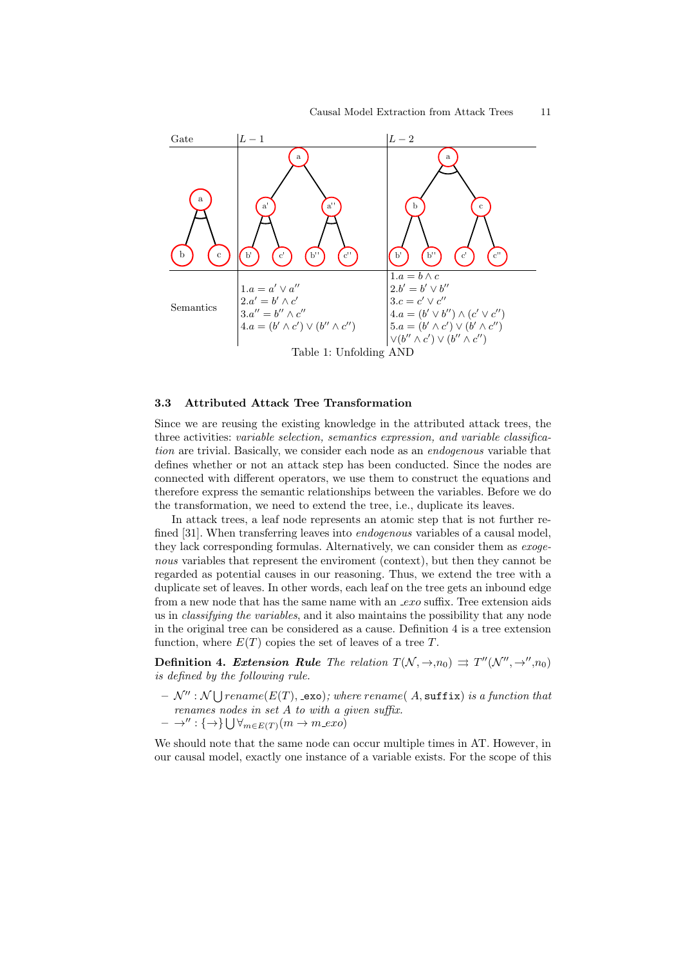

#### 3.3 Attributed Attack Tree Transformation

Since we are reusing the existing knowledge in the attributed attack trees, the three activities: variable selection, semantics expression, and variable classification are trivial. Basically, we consider each node as an endogenous variable that defines whether or not an attack step has been conducted. Since the nodes are connected with different operators, we use them to construct the equations and therefore express the semantic relationships between the variables. Before we do the transformation, we need to extend the tree, i.e., duplicate its leaves.

In attack trees, a leaf node represents an atomic step that is not further refined [31]. When transferring leaves into endogenous variables of a causal model, they lack corresponding formulas. Alternatively, we can consider them as exogenous variables that represent the enviroment (context), but then they cannot be regarded as potential causes in our reasoning. Thus, we extend the tree with a duplicate set of leaves. In other words, each leaf on the tree gets an inbound edge from a new node that has the same name with an  $\_exo$  suffix. Tree extension aids us in classifying the variables, and it also maintains the possibility that any node in the original tree can be considered as a cause. Definition 4 is a tree extension function, where  $E(T)$  copies the set of leaves of a tree T.

**Definition 4. Extension Rule** The relation  $T(N, \rightarrow,n_0) \Rightarrow T''(N'', \rightarrow'', n_0)$ is defined by the following rule.

- $\mathcal{N}'' : \mathcal{N} \bigcup \mathit{rename}(E(T), \texttt{exo})$ ; where rename(A, suffix) is a function that renames nodes in set A to with a given suffix.
- $\rightarrow'' : \{\rightarrow\} \bigcup \forall_{m \in E(T)} (m \rightarrow m \_{exo})$

We should note that the same node can occur multiple times in AT. However, in our causal model, exactly one instance of a variable exists. For the scope of this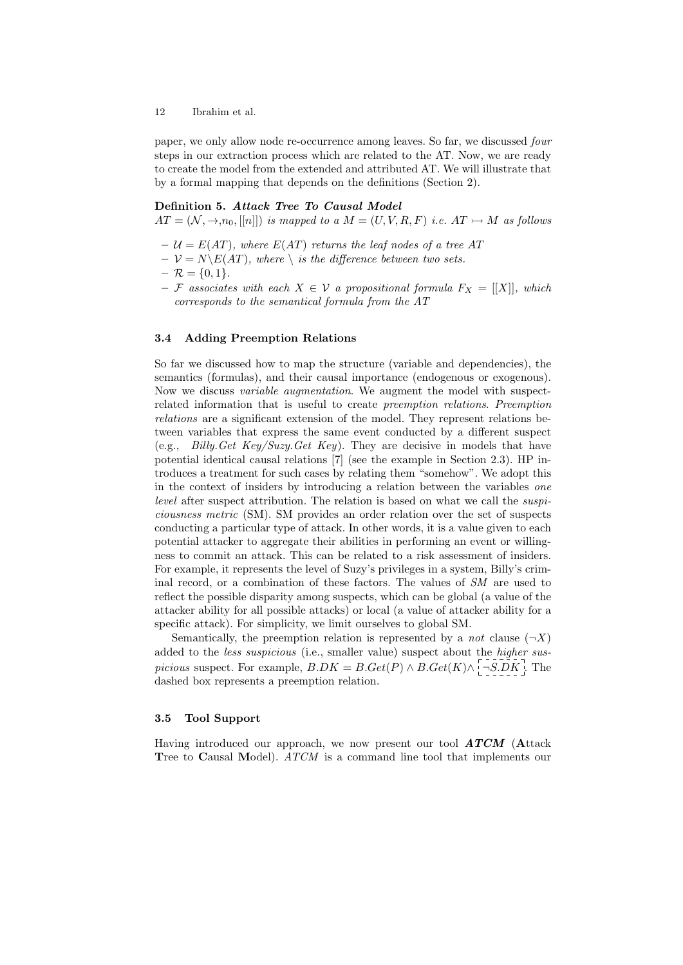paper, we only allow node re-occurrence among leaves. So far, we discussed four steps in our extraction process which are related to the AT. Now, we are ready to create the model from the extended and attributed AT. We will illustrate that by a formal mapping that depends on the definitions (Section 2).

## Definition 5. Attack Tree To Causal Model

 $AT = (N, \rightarrow, n_0, [[n]])$  is mapped to a  $M = (U, V, R, F)$  i.e.  $AT \rightarrow M$  as follows

- $-\mathcal{U} = E(AT)$ , where  $E(AT)$  returns the leaf nodes of a tree AT
- $-\mathcal{V} = N\backslash E(AT)$ , where  $\backslash$  is the difference between two sets.

$$
- \mathcal{R} = \{0, 1\}.
$$

 $-$  F associates with each  $X \in V$  a propositional formula  $F_X = [[X]],$  which corresponds to the semantical formula from the AT

#### 3.4 Adding Preemption Relations

So far we discussed how to map the structure (variable and dependencies), the semantics (formulas), and their causal importance (endogenous or exogenous). Now we discuss *variable augmentation*. We augment the model with suspectrelated information that is useful to create preemption relations. Preemption relations are a significant extension of the model. They represent relations between variables that express the same event conducted by a different suspect (e.g., Billy. Get Key/Suzy. Get Key). They are decisive in models that have potential identical causal relations [7] (see the example in Section 2.3). HP introduces a treatment for such cases by relating them "somehow". We adopt this in the context of insiders by introducing a relation between the variables one level after suspect attribution. The relation is based on what we call the suspiciousness metric (SM). SM provides an order relation over the set of suspects conducting a particular type of attack. In other words, it is a value given to each potential attacker to aggregate their abilities in performing an event or willingness to commit an attack. This can be related to a risk assessment of insiders. For example, it represents the level of Suzy's privileges in a system, Billy's criminal record, or a combination of these factors. The values of SM are used to reflect the possible disparity among suspects, which can be global (a value of the attacker ability for all possible attacks) or local (a value of attacker ability for a specific attack). For simplicity, we limit ourselves to global SM.

Semantically, the preemption relation is represented by a *not* clause  $(\neg X)$ added to the less suspicious (i.e., smaller value) suspect about the higher suspicious suspect. For example,  $B.DK = B.Cet(P) \wedge B.Cet(K) \wedge \neg S.DK$ . The dashed box represents a preemption relation.

## 3.5 Tool Support

Having introduced our approach, we now present our tool  $\text{ATCM}$  (Attack Tree to Causal Model). ATCM is a command line tool that implements our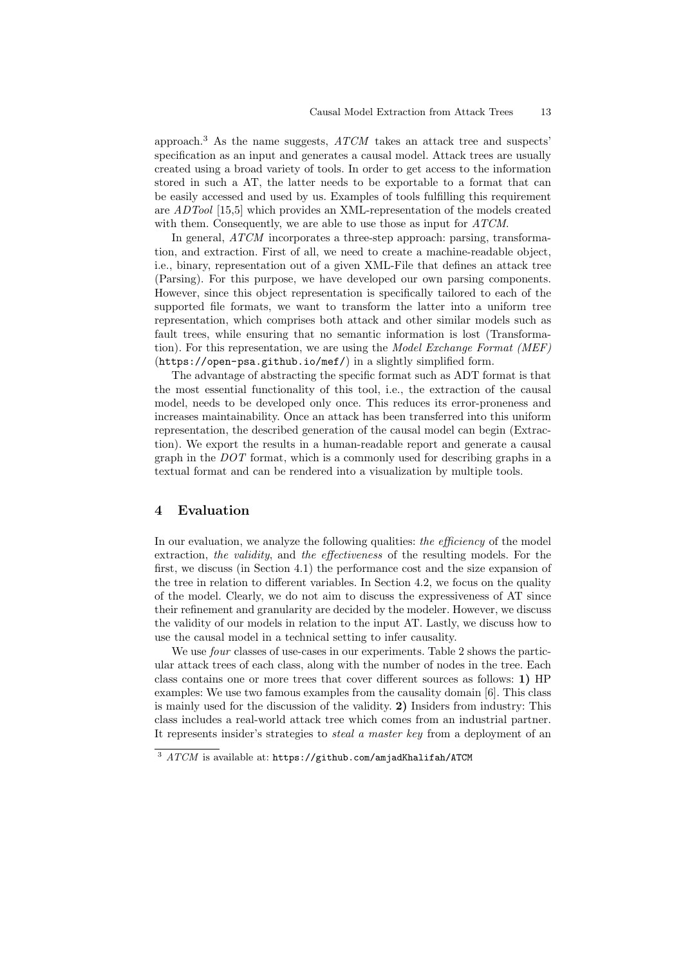approach.<sup>3</sup> As the name suggests,  $ATCM$  takes an attack tree and suspects' specification as an input and generates a causal model. Attack trees are usually created using a broad variety of tools. In order to get access to the information stored in such a AT, the latter needs to be exportable to a format that can be easily accessed and used by us. Examples of tools fulfilling this requirement are ADTool [15,5] which provides an XML-representation of the models created with them. Consequently, we are able to use those as input for ATCM.

In general, ATCM incorporates a three-step approach: parsing, transformation, and extraction. First of all, we need to create a machine-readable object, i.e., binary, representation out of a given XML-File that defines an attack tree (Parsing). For this purpose, we have developed our own parsing components. However, since this object representation is specifically tailored to each of the supported file formats, we want to transform the latter into a uniform tree representation, which comprises both attack and other similar models such as fault trees, while ensuring that no semantic information is lost (Transformation). For this representation, we are using the Model Exchange Format (MEF) (https://open-psa.github.io/mef/) in a slightly simplified form.

The advantage of abstracting the specific format such as ADT format is that the most essential functionality of this tool, i.e., the extraction of the causal model, needs to be developed only once. This reduces its error-proneness and increases maintainability. Once an attack has been transferred into this uniform representation, the described generation of the causal model can begin (Extraction). We export the results in a human-readable report and generate a causal graph in the DOT format, which is a commonly used for describing graphs in a textual format and can be rendered into a visualization by multiple tools.

## 4 Evaluation

In our evaluation, we analyze the following qualities: the efficiency of the model extraction, the validity, and the effectiveness of the resulting models. For the first, we discuss (in Section 4.1) the performance cost and the size expansion of the tree in relation to different variables. In Section 4.2, we focus on the quality of the model. Clearly, we do not aim to discuss the expressiveness of AT since their refinement and granularity are decided by the modeler. However, we discuss the validity of our models in relation to the input AT. Lastly, we discuss how to use the causal model in a technical setting to infer causality.

We use *four* classes of use-cases in our experiments. Table 2 shows the particular attack trees of each class, along with the number of nodes in the tree. Each class contains one or more trees that cover different sources as follows: 1) HP examples: We use two famous examples from the causality domain [6]. This class is mainly used for the discussion of the validity. 2) Insiders from industry: This class includes a real-world attack tree which comes from an industrial partner. It represents insider's strategies to *steal a master key* from a deployment of an

 $3$  ATCM is available at: https://github.com/amjadKhalifah/ATCM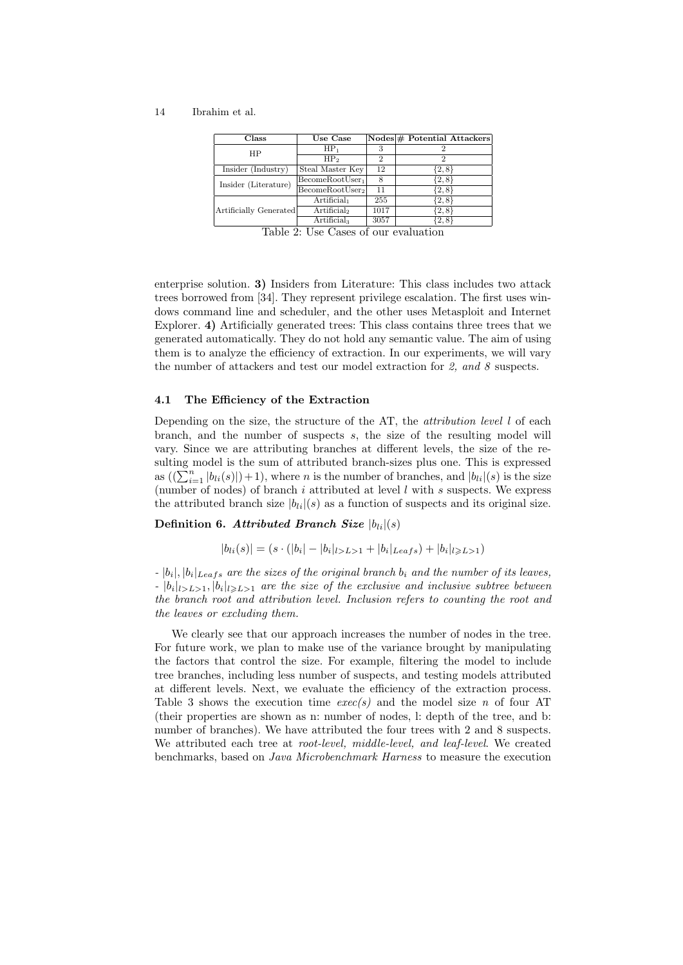| Class                  | Use Case                    |      | $\text{Nodes} \#$ Potential Attackers |
|------------------------|-----------------------------|------|---------------------------------------|
| HP                     | $HP_1$                      | 3    | 2                                     |
|                        | HP <sub>2</sub>             | 2    | 2                                     |
| Insider (Industry)     | Steal Master Key            | 12   | $\{2,8\}$                             |
| Insider (Literature)   | $BecomeRootUser_1$          | 8    | $\{2, 8\}$                            |
|                        | BecomeRootUser <sub>2</sub> | 11   | $\{2,8\}$                             |
|                        | Artificial <sub>1</sub>     | 255  | $\{2, 8\}$                            |
| Artificially Generated | Artificial <sub>2</sub>     | 1017 | (2, 8)                                |
|                        | Artificiala                 | 3057 | $\left[2,8\right]$                    |

Table 2: Use Cases of our evaluation

enterprise solution. 3) Insiders from Literature: This class includes two attack trees borrowed from [34]. They represent privilege escalation. The first uses windows command line and scheduler, and the other uses Metasploit and Internet Explorer. 4) Artificially generated trees: This class contains three trees that we generated automatically. They do not hold any semantic value. The aim of using them is to analyze the efficiency of extraction. In our experiments, we will vary the number of attackers and test our model extraction for 2, and 8 suspects.

### 4.1 The Efficiency of the Extraction

Depending on the size, the structure of the AT, the *attribution level l* of each branch, and the number of suspects s, the size of the resulting model will vary. Since we are attributing branches at different levels, the size of the resulting model is the sum of attributed branch-sizes plus one. This is expressed as  $((\sum_{i=1}^{n} |b_{li}(s)|)+1)$ , where *n* is the number of branches, and  $|b_{li}|(s)$  is the size (number of nodes) of branch  $i$  attributed at level  $l$  with  $s$  suspects. We express the attributed branch size  $|b_{li}|(s)$  as a function of suspects and its original size.

## Definition 6. Attributed Branch Size  $|b_{li}|(s)$

$$
|b_{li}(s)| = (s \cdot (|b_i| - |b_i|_{l>L>1} + |b_i|_{Leafs}) + |b_i|_{l \ge L>1})
$$

 $-|b_i|, |b_i|_{Leafs}$  are the sizes of the original branch  $b_i$  and the number of its leaves,  $-|b_i|_{l>L>1}, |b_i|_{l\geq L>1}$  are the size of the exclusive and inclusive subtree between the branch root and attribution level. Inclusion refers to counting the root and the leaves or excluding them.

We clearly see that our approach increases the number of nodes in the tree. For future work, we plan to make use of the variance brought by manipulating the factors that control the size. For example, filtering the model to include tree branches, including less number of suspects, and testing models attributed at different levels. Next, we evaluate the efficiency of the extraction process. Table 3 shows the execution time  $exec(s)$  and the model size n of four AT (their properties are shown as n: number of nodes, l: depth of the tree, and b: number of branches). We have attributed the four trees with 2 and 8 suspects. We attributed each tree at *root-level*, *middle-level*, *and leaf-level*. We created benchmarks, based on Java Microbenchmark Harness to measure the execution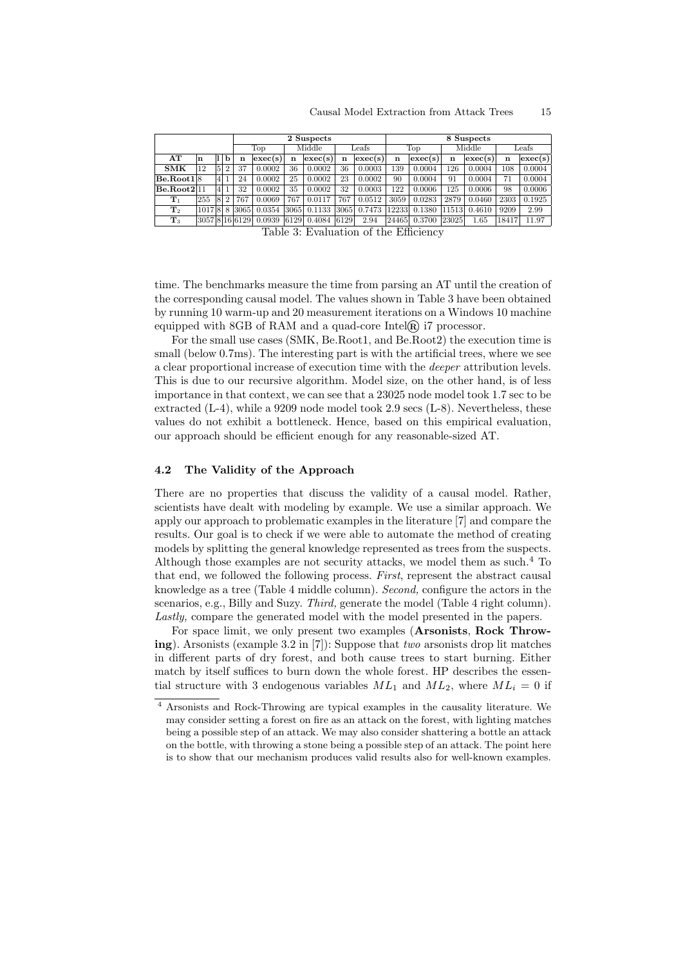|                   |             |                 |                | 2 Suspects |         |      |                         |      | 8 Suspects              |       |                   |       |                   |       |                         |
|-------------------|-------------|-----------------|----------------|------------|---------|------|-------------------------|------|-------------------------|-------|-------------------|-------|-------------------|-------|-------------------------|
|                   |             |                 | Top            |            | Middle  |      | $_{\rm{Leafs}}$         |      | Top                     |       | Middle            |       | $_{\rm{Leafs}}$   |       |                         |
| AT                | In          |                 | b              | n          | exec(s) | n    | $\vert$ exec(s) $\vert$ | n    | $\vert$ exec(s) $\vert$ | n     | $ {\rm exec}(s) $ | n     | $ {\rm exec}(s) $ | n     | $\vert$ exec(s) $\vert$ |
| <b>SMK</b>        | 12          | 5               | $\overline{2}$ | 37         | 0.0002  | 36   | 0.0002                  | 36   | 0.0003                  | 139   | 0.0004            | 126   | 0.0004            | 108   | 0.0004                  |
| $Be$ .Root $1 8$  |             | 41              |                | 24         | 0.0002  | 25   | 0.0002                  | 23   | 0.0002                  | 90    | 0.0004            | 91    | 0.0004            | 71    | 0.0004                  |
| $Be$ . $Root2 11$ |             | 14 <sup>1</sup> |                | 32         | 0.0002  | 35   | 0.0002                  | 32   | 0.0003                  | 122   | 0.0006            | 125   | 0.0006            | 98    | 0.0006                  |
| $\mathbf{T}_1$    | 255         | $\vert 8 \vert$ | $\overline{2}$ | 767        | 0.0069  | 767  | 0.0117                  | 767  | 0.0512                  | 3059  | 0.0283            | 2879  | 0.0460            | 2303  | 0.1925                  |
| $\mathbf{T}_2$    | 10178       |                 | 8              | 3065       | 0.0354  | 3065 | 0.1133                  | 3065 | 0.7473                  | 12233 | 0.1380            | 11513 | 0.4610            | 9209  | 2.99                    |
| $\mathbf{T}_3$    | 30578166129 |                 |                |            | 0.0939  | 6129 | 0.4084                  | 6129 | 2.94                    | 24465 | 0.3700            | 23025 | $1.65\,$          | 18417 | 11.97                   |

Table 3: Evaluation of the Efficiency

time. The benchmarks measure the time from parsing an AT until the creation of the corresponding causal model. The values shown in Table 3 have been obtained by running 10 warm-up and 20 measurement iterations on a Windows 10 machine equipped with  $8GB$  of RAM and a quad-core Intel $\circledR$  i7 processor.

For the small use cases (SMK, Be.Root1, and Be.Root2) the execution time is small (below 0.7ms). The interesting part is with the artificial trees, where we see a clear proportional increase of execution time with the deeper attribution levels. This is due to our recursive algorithm. Model size, on the other hand, is of less importance in that context, we can see that a 23025 node model took 1.7 sec to be extracted (L-4), while a 9209 node model took 2.9 secs (L-8). Nevertheless, these values do not exhibit a bottleneck. Hence, based on this empirical evaluation, our approach should be efficient enough for any reasonable-sized AT.

## 4.2 The Validity of the Approach

There are no properties that discuss the validity of a causal model. Rather, scientists have dealt with modeling by example. We use a similar approach. We apply our approach to problematic examples in the literature [7] and compare the results. Our goal is to check if we were able to automate the method of creating models by splitting the general knowledge represented as trees from the suspects. Although those examples are not security attacks, we model them as such.<sup>4</sup> To that end, we followed the following process. First, represent the abstract causal knowledge as a tree (Table 4 middle column). Second, configure the actors in the scenarios, e.g., Billy and Suzy. Third, generate the model (Table 4 right column). Lastly, compare the generated model with the model presented in the papers.

For space limit, we only present two examples (Arsonists, Rock Throwing). Arsonists (example 3.2 in [7]): Suppose that two arsonists drop lit matches in different parts of dry forest, and both cause trees to start burning. Either match by itself suffices to burn down the whole forest. HP describes the essential structure with 3 endogenous variables  $ML_1$  and  $ML_2$ , where  $ML_i = 0$  if

<sup>4</sup> Arsonists and Rock-Throwing are typical examples in the causality literature. We may consider setting a forest on fire as an attack on the forest, with lighting matches being a possible step of an attack. We may also consider shattering a bottle an attack on the bottle, with throwing a stone being a possible step of an attack. The point here is to show that our mechanism produces valid results also for well-known examples.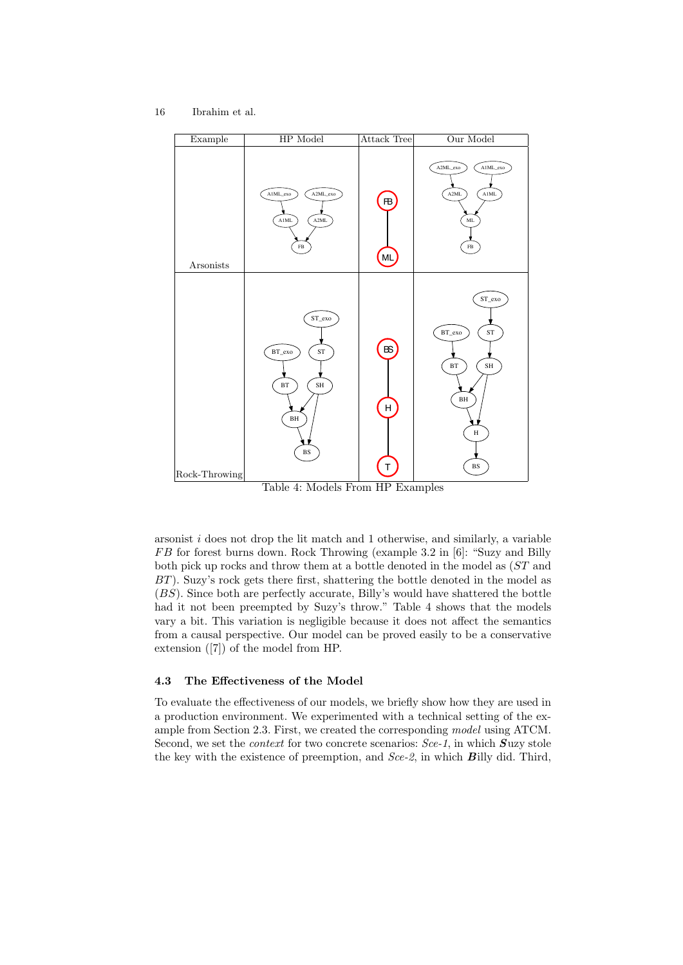

Table 4: Models From HP Examples

arsonist  $i$  does not drop the lit match and 1 otherwise, and similarly, a variable FB for forest burns down. Rock Throwing (example 3.2 in [6]: "Suzy and Billy both pick up rocks and throw them at a bottle denoted in the model as (ST and BT). Suzy's rock gets there first, shattering the bottle denoted in the model as (BS). Since both are perfectly accurate, Billy's would have shattered the bottle had it not been preempted by Suzy's throw." Table 4 shows that the models vary a bit. This variation is negligible because it does not affect the semantics from a causal perspective. Our model can be proved easily to be a conservative extension ([7]) of the model from HP.

#### 4.3 The Effectiveness of the Model

To evaluate the effectiveness of our models, we briefly show how they are used in a production environment. We experimented with a technical setting of the example from Section 2.3. First, we created the corresponding model using ATCM. Second, we set the *context* for two concrete scenarios:  $See-1$ , in which **Suzy** stole the key with the existence of preemption, and  $Sce-2$ , in which  $\boldsymbol{B}$ illy did. Third,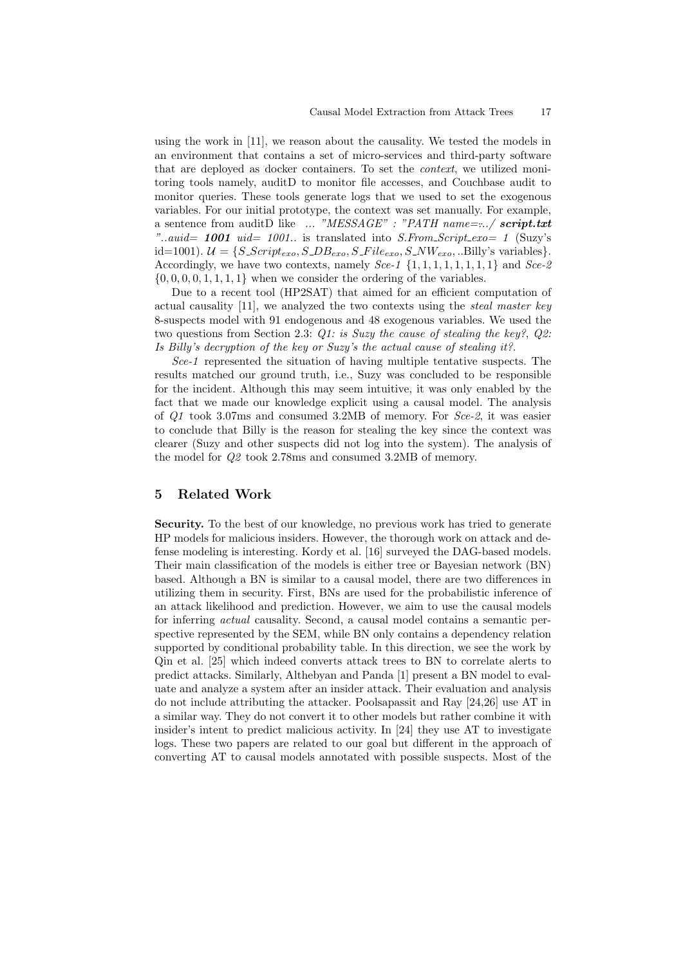using the work in [11], we reason about the causality. We tested the models in an environment that contains a set of micro-services and third-party software that are deployed as docker containers. To set the context, we utilized monitoring tools namely, auditD to monitor file accesses, and Couchbase audit to monitor queries. These tools generate logs that we used to set the exogenous variables. For our initial prototype, the context was set manually. For example, a sentence from auditD like  $\ldots$  "MESSAGE" : "PATH name= $\ldots/$  script.txt "..auid=  $1001$  uid=  $1001$ .. is translated into S.From Script exo= 1 (Suzy's id=1001).  $U = \{S \_Script_{exo}, S \_DB_{exo}, S \_File_{exo}, S \_NW_{exo}, \ldots$ Billy's variables $\}.$ Accordingly, we have two contexts, namely  $Sce-1 \{1, 1, 1, 1, 1, 1, 1\}$  and  $Sce-2$  $\{0, 0, 0, 0, 1, 1, 1, 1\}$  when we consider the ordering of the variables.

Due to a recent tool (HP2SAT) that aimed for an efficient computation of actual causality [11], we analyzed the two contexts using the steal master key 8-suspects model with 91 endogenous and 48 exogenous variables. We used the two questions from Section 2.3:  $Q1$ : is Suzy the cause of stealing the key?,  $Q2$ : Is Billy's decryption of the key or Suzy's the actual cause of stealing it?.

Sce-1 represented the situation of having multiple tentative suspects. The results matched our ground truth, i.e., Suzy was concluded to be responsible for the incident. Although this may seem intuitive, it was only enabled by the fact that we made our knowledge explicit using a causal model. The analysis of  $Q1$  took 3.07ms and consumed 3.2MB of memory. For  $Sce-2$ , it was easier to conclude that Billy is the reason for stealing the key since the context was clearer (Suzy and other suspects did not log into the system). The analysis of the model for Q2 took 2.78ms and consumed 3.2MB of memory.

## 5 Related Work

Security. To the best of our knowledge, no previous work has tried to generate HP models for malicious insiders. However, the thorough work on attack and defense modeling is interesting. Kordy et al. [16] surveyed the DAG-based models. Their main classification of the models is either tree or Bayesian network (BN) based. Although a BN is similar to a causal model, there are two differences in utilizing them in security. First, BNs are used for the probabilistic inference of an attack likelihood and prediction. However, we aim to use the causal models for inferring actual causality. Second, a causal model contains a semantic perspective represented by the SEM, while BN only contains a dependency relation supported by conditional probability table. In this direction, we see the work by Qin et al. [25] which indeed converts attack trees to BN to correlate alerts to predict attacks. Similarly, Althebyan and Panda [1] present a BN model to evaluate and analyze a system after an insider attack. Their evaluation and analysis do not include attributing the attacker. Poolsapassit and Ray [24,26] use AT in a similar way. They do not convert it to other models but rather combine it with insider's intent to predict malicious activity. In [24] they use AT to investigate logs. These two papers are related to our goal but different in the approach of converting AT to causal models annotated with possible suspects. Most of the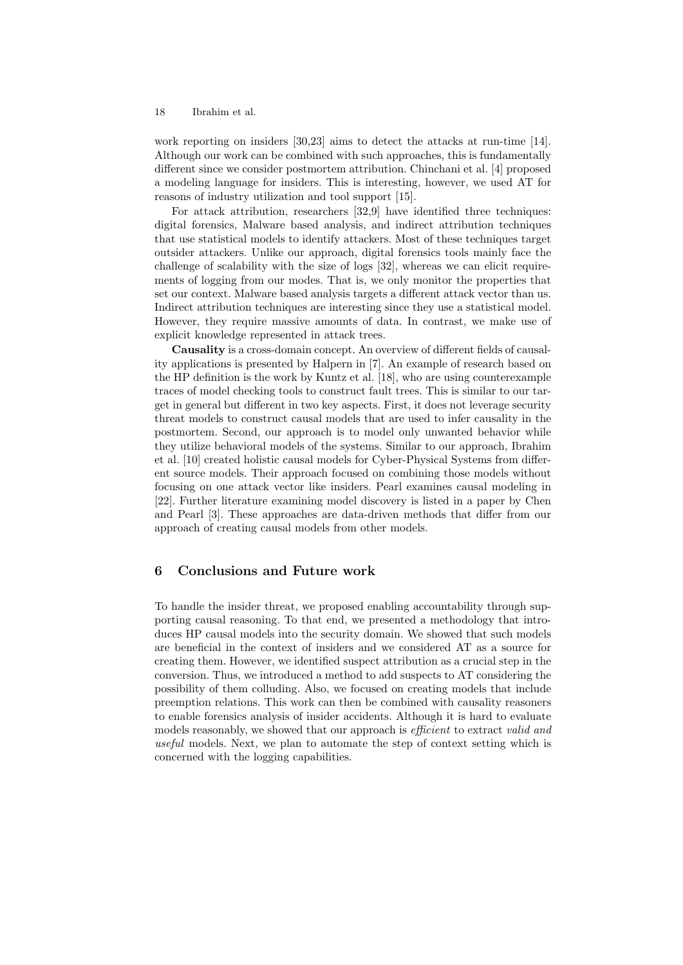work reporting on insiders [30,23] aims to detect the attacks at run-time [14]. Although our work can be combined with such approaches, this is fundamentally different since we consider postmortem attribution. Chinchani et al. [4] proposed a modeling language for insiders. This is interesting, however, we used AT for reasons of industry utilization and tool support [15].

For attack attribution, researchers [32,9] have identified three techniques: digital forensics, Malware based analysis, and indirect attribution techniques that use statistical models to identify attackers. Most of these techniques target outsider attackers. Unlike our approach, digital forensics tools mainly face the challenge of scalability with the size of logs [32], whereas we can elicit requirements of logging from our modes. That is, we only monitor the properties that set our context. Malware based analysis targets a different attack vector than us. Indirect attribution techniques are interesting since they use a statistical model. However, they require massive amounts of data. In contrast, we make use of explicit knowledge represented in attack trees.

Causality is a cross-domain concept. An overview of different fields of causality applications is presented by Halpern in [7]. An example of research based on the HP definition is the work by Kuntz et al. [18], who are using counterexample traces of model checking tools to construct fault trees. This is similar to our target in general but different in two key aspects. First, it does not leverage security threat models to construct causal models that are used to infer causality in the postmortem. Second, our approach is to model only unwanted behavior while they utilize behavioral models of the systems. Similar to our approach, Ibrahim et al. [10] created holistic causal models for Cyber-Physical Systems from different source models. Their approach focused on combining those models without focusing on one attack vector like insiders. Pearl examines causal modeling in [22]. Further literature examining model discovery is listed in a paper by Chen and Pearl [3]. These approaches are data-driven methods that differ from our approach of creating causal models from other models.

## 6 Conclusions and Future work

To handle the insider threat, we proposed enabling accountability through supporting causal reasoning. To that end, we presented a methodology that introduces HP causal models into the security domain. We showed that such models are beneficial in the context of insiders and we considered AT as a source for creating them. However, we identified suspect attribution as a crucial step in the conversion. Thus, we introduced a method to add suspects to AT considering the possibility of them colluding. Also, we focused on creating models that include preemption relations. This work can then be combined with causality reasoners to enable forensics analysis of insider accidents. Although it is hard to evaluate models reasonably, we showed that our approach is *efficient* to extract valid and useful models. Next, we plan to automate the step of context setting which is concerned with the logging capabilities.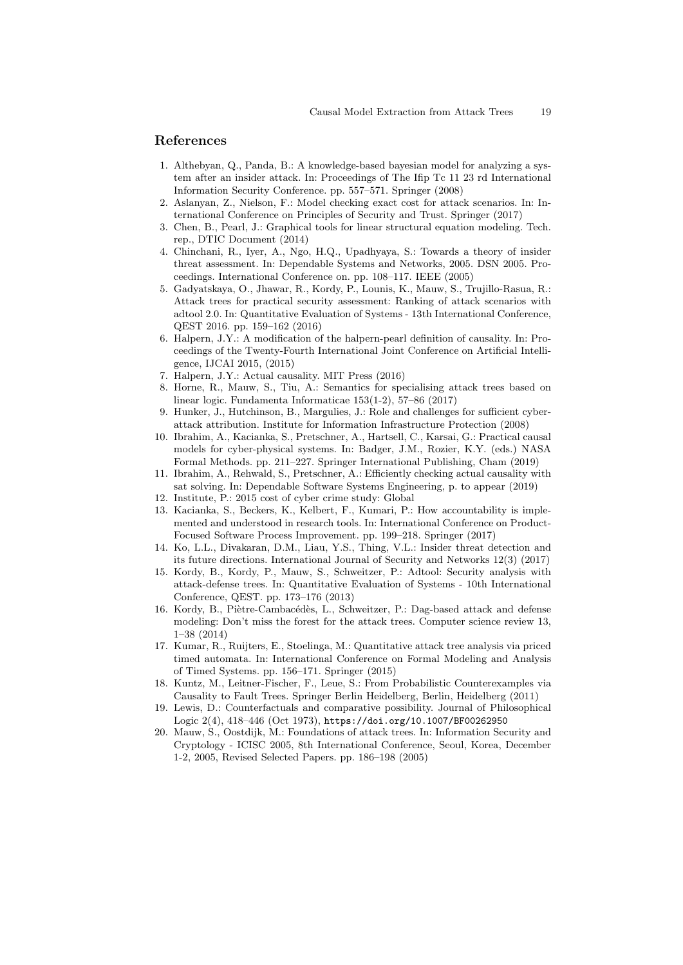## References

- 1. Althebyan, Q., Panda, B.: A knowledge-based bayesian model for analyzing a system after an insider attack. In: Proceedings of The Ifip Tc 11 23 rd International Information Security Conference. pp. 557–571. Springer (2008)
- 2. Aslanyan, Z., Nielson, F.: Model checking exact cost for attack scenarios. In: International Conference on Principles of Security and Trust. Springer (2017)
- 3. Chen, B., Pearl, J.: Graphical tools for linear structural equation modeling. Tech. rep., DTIC Document (2014)
- 4. Chinchani, R., Iyer, A., Ngo, H.Q., Upadhyaya, S.: Towards a theory of insider threat assessment. In: Dependable Systems and Networks, 2005. DSN 2005. Proceedings. International Conference on. pp. 108–117. IEEE (2005)
- 5. Gadyatskaya, O., Jhawar, R., Kordy, P., Lounis, K., Mauw, S., Trujillo-Rasua, R.: Attack trees for practical security assessment: Ranking of attack scenarios with adtool 2.0. In: Quantitative Evaluation of Systems - 13th International Conference, QEST 2016. pp. 159–162 (2016)
- 6. Halpern, J.Y.: A modification of the halpern-pearl definition of causality. In: Proceedings of the Twenty-Fourth International Joint Conference on Artificial Intelligence, IJCAI 2015, (2015)
- 7. Halpern, J.Y.: Actual causality. MIT Press (2016)
- 8. Horne, R., Mauw, S., Tiu, A.: Semantics for specialising attack trees based on linear logic. Fundamenta Informaticae 153(1-2), 57–86 (2017)
- 9. Hunker, J., Hutchinson, B., Margulies, J.: Role and challenges for sufficient cyberattack attribution. Institute for Information Infrastructure Protection (2008)
- 10. Ibrahim, A., Kacianka, S., Pretschner, A., Hartsell, C., Karsai, G.: Practical causal models for cyber-physical systems. In: Badger, J.M., Rozier, K.Y. (eds.) NASA Formal Methods. pp. 211–227. Springer International Publishing, Cham (2019)
- 11. Ibrahim, A., Rehwald, S., Pretschner, A.: Efficiently checking actual causality with sat solving. In: Dependable Software Systems Engineering, p. to appear (2019)
- 12. Institute, P.: 2015 cost of cyber crime study: Global
- 13. Kacianka, S., Beckers, K., Kelbert, F., Kumari, P.: How accountability is implemented and understood in research tools. In: International Conference on Product-Focused Software Process Improvement. pp. 199–218. Springer (2017)
- 14. Ko, L.L., Divakaran, D.M., Liau, Y.S., Thing, V.L.: Insider threat detection and its future directions. International Journal of Security and Networks 12(3) (2017)
- 15. Kordy, B., Kordy, P., Mauw, S., Schweitzer, P.: Adtool: Security analysis with attack-defense trees. In: Quantitative Evaluation of Systems - 10th International Conference, QEST. pp. 173–176 (2013)
- 16. Kordy, B., Piètre-Cambacédès, L., Schweitzer, P.: Dag-based attack and defense modeling: Don't miss the forest for the attack trees. Computer science review 13, 1–38 (2014)
- 17. Kumar, R., Ruijters, E., Stoelinga, M.: Quantitative attack tree analysis via priced timed automata. In: International Conference on Formal Modeling and Analysis of Timed Systems. pp. 156–171. Springer (2015)
- 18. Kuntz, M., Leitner-Fischer, F., Leue, S.: From Probabilistic Counterexamples via Causality to Fault Trees. Springer Berlin Heidelberg, Berlin, Heidelberg (2011)
- 19. Lewis, D.: Counterfactuals and comparative possibility. Journal of Philosophical Logic 2(4), 418–446 (Oct 1973), https://doi.org/10.1007/BF00262950
- 20. Mauw, S., Oostdijk, M.: Foundations of attack trees. In: Information Security and Cryptology - ICISC 2005, 8th International Conference, Seoul, Korea, December 1-2, 2005, Revised Selected Papers. pp. 186–198 (2005)